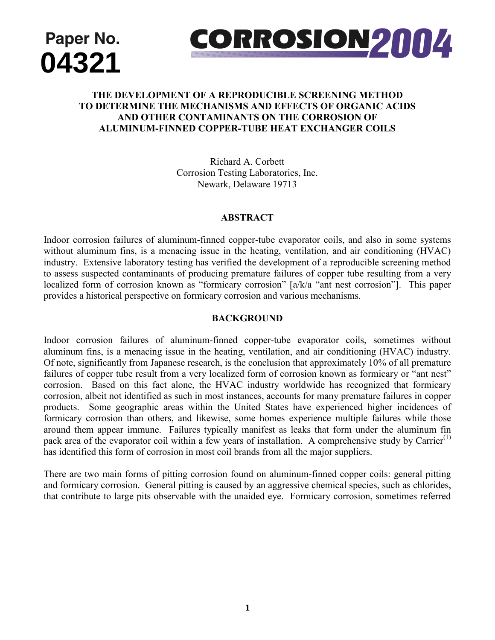



## THE DEVELOPMENT OF A REPRODUCIBLE SCREENING METHOD **THE DEVELOTMENT OF A RETRODUCIBLE SURFENTING METHOD**<br>TO DETERMINE THE MECHANISMS AND EFFECTS OF ORGANIC ACIDS **AND OTHER CONTAMINANTS ON THE CORROSION OF ALUMINUM-FINNED COPPER-TUBE HEAT EXCHANGER COILS**

Richard A. Corbett Corrosion Testing Laboratories, Inc. Newark, Delaware 19713

#### **ABSTRACT**

Indoor corrosion failures of aluminum-finned copper-tube evaporator coils, and also in some systems without aluminum fins, is a menacing issue in the heating, ventilation, and air conditioning (HVAC) industry. Extensive laboratory testing has verified the development of a reproducible screening method to assess suspected contaminants of producing premature failures of copper tube resulting from a very localized form of corrosion known as "formicary corrosion" [a/k/a "ant nest corrosion"]. This paper provides a historical perspective on formicary corrosion and various mechanisms.

#### **BACKGROUND**

Indoor corrosion failures of aluminum-finned copper-tube evaporator coils, sometimes without aluminum fins, is a menacing issue in the heating, ventilation, and air conditioning (HVAC) industry. Of note, significantly from Japanese research, is the conclusion that approximately 10% of all premature failures of copper tube result from a very localized form of corrosion known as formicary or "ant nest" corrosion. Based on this fact alone, the HVAC industry worldwide has recognized that formicary corrosion, albeit not identified as such in most instances, accounts for many premature failures in copper products. Some geographic areas within the United States have experienced higher incidences of formicary corrosion than others, and likewise, some homes experience multiple failures while those around them appear immune. Failures typically manifest as leaks that form under the aluminum fin pack area of the evaporator coil within a few years of installation. A comprehensive study by Carrier<sup>(1)</sup> has identified this form of corrosion in most coil brands from all the major suppliers.

There are two main forms of pitting corrosion found on aluminum-finned copper coils: general pitting and formicary corrosion. General pitting is caused by an aggressive chemical species, such as chlorides, that contribute to large pits observable with the unaided eye. Formicary corrosion, sometimes referred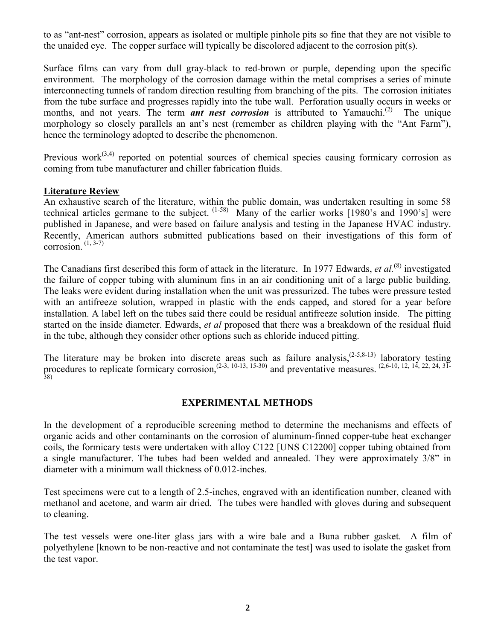to as "ant-nest" corrosion, appears as isolated or multiple pinhole pits so fine that they are not visible to the unaided eye. The copper surface will typically be discolored adjacent to the corrosion pit(s).

Surface films can vary from dull gray-black to red-brown or purple, depending upon the specific environment. The morphology of the corrosion damage within the metal comprises a series of minute interconnecting tunnels of random direction resulting from branching of the pits. The corrosion initiates from the tube surface and progresses rapidly into the tube wall. Perforation usually occurs in weeks or months, and not years. The term *ant nest corrosion* is attributed to Yamauchi.<sup>(2)</sup> The unique morphology so closely parallels an ant's nest (remember as children playing with the "Ant Farm"), hence the terminology adopted to describe the phenomenon.

Previous work<sup> $(3,4)$ </sup> reported on potential sources of chemical species causing formicary corrosion as coming from tube manufacturer and chiller fabrication fluids.

#### **Literature Review**

An exhaustive search of the literature, within the public domain, was undertaken resulting in some 58 technical articles germane to the subject. (1-58) Many of the earlier works [1980's and 1990's] were published in Japanese, and were based on failure analysis and testing in the Japanese HVAC industry. Recently, American authors submitted publications based on their investigations of this form of corrosion.  $(1, 3-7)$ 

The Canadians first described this form of attack in the literature. In 1977 Edwards, *et al.*<sup>(8)</sup> investigated the failure of copper tubing with aluminum fins in an air conditioning unit of a large public building. The leaks were evident during installation when the unit was pressurized. The tubes were pressure tested with an antifreeze solution, wrapped in plastic with the ends capped, and stored for a year before installation. A label left on the tubes said there could be residual antifreeze solution inside. The pitting started on the inside diameter. Edwards, *et al* proposed that there was a breakdown of the residual fluid in the tube, although they consider other options such as chloride induced pitting.

The literature may be broken into discrete areas such as failure analysis,<sup> $(2-5,8-13)$ </sup> laboratory testing procedures to replicate formicary corrosion,<sup> $(2-3, 10-13, 15-30)$ </sup> and preventative measures.  $(2,6-10, 12, 14, 22, 24, 31-$ 38)

#### **EXPERIMENTAL METHODS**

In the development of a reproducible screening method to determine the mechanisms and effects of organic acids and other contaminants on the corrosion of aluminum-finned copper-tube heat exchanger coils, the formicary tests were undertaken with alloy C122 [UNS C12200] copper tubing obtained from a single manufacturer. The tubes had been welded and annealed. They were approximately 3/8" in diameter with a minimum wall thickness of 0.012-inches.

Test specimens were cut to a length of 2.5-inches, engraved with an identification number, cleaned with methanol and acetone, and warm air dried. The tubes were handled with gloves during and subsequent to cleaning.

The test vessels were one-liter glass jars with a wire bale and a Buna rubber gasket. A film of polyethylene [known to be non-reactive and not contaminate the test] was used to isolate the gasket from the test vapor.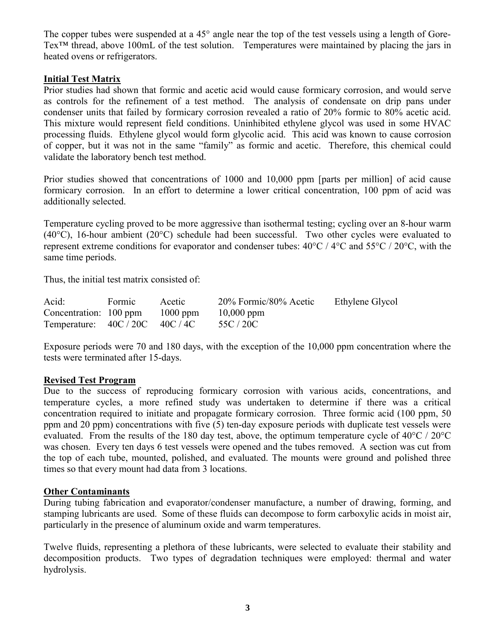The copper tubes were suspended at a 45° angle near the top of the test vessels using a length of Gore-Tex<sup>™</sup> thread, above 100mL of the test solution. Temperatures were maintained by placing the jars in heated ovens or refrigerators.

### **Initial Test Matrix**

Prior studies had shown that formic and acetic acid would cause formicary corrosion, and would serve as controls for the refinement of a test method. The analysis of condensate on drip pans under condenser units that failed by formicary corrosion revealed a ratio of 20% formic to 80% acetic acid. This mixture would represent field conditions. Uninhibited ethylene glycol was used in some HVAC processing fluids. Ethylene glycol would form glycolic acid. This acid was known to cause corrosion of copper, but it was not in the same "family" as formic and acetic. Therefore, this chemical could validate the laboratory bench test method.

Prior studies showed that concentrations of 1000 and 10,000 ppm [parts per million] of acid cause formicary corrosion. In an effort to determine a lower critical concentration, 100 ppm of acid was additionally selected.

Temperature cycling proved to be more aggressive than isothermal testing; cycling over an 8-hour warm  $(40^{\circ}C)$ , 16-hour ambient (20 $^{\circ}C$ ) schedule had been successful. Two other cycles were evaluated to represent extreme conditions for evaporator and condenser tubes:  $40^{\circ}$ C /  $4^{\circ}$ C and  $55^{\circ}$ C /  $20^{\circ}$ C, with the same time periods.

Thus, the initial test matrix consisted of:

| Acid:                                     | <b>Formic</b> | Acetic | 20% Formic/80% Acetic | Ethylene Glycol |
|-------------------------------------------|---------------|--------|-----------------------|-----------------|
| Concentration: $100 \text{ ppm}$ 1000 ppm |               |        | $10,000$ ppm          |                 |
| Temperature: $40C / 20C$ $40C / 4C$       |               |        | 55C / 20C             |                 |

Exposure periods were 70 and 180 days, with the exception of the 10,000 ppm concentration where the tests were terminated after 15-days.

### **Revised Test Program**

Due to the success of reproducing formicary corrosion with various acids, concentrations, and temperature cycles, a more refined study was undertaken to determine if there was a critical concentration required to initiate and propagate formicary corrosion. Three formic acid (100 ppm, 50 ppm and 20 ppm) concentrations with five (5) ten-day exposure periods with duplicate test vessels were evaluated. From the results of the 180 day test, above, the optimum temperature cycle of 40°C / 20°C was chosen. Every ten days 6 test vessels were opened and the tubes removed. A section was cut from the top of each tube, mounted, polished, and evaluated. The mounts were ground and polished three times so that every mount had data from 3 locations.

### **Other Contaminants**

During tubing fabrication and evaporator/condenser manufacture, a number of drawing, forming, and stamping lubricants are used. Some of these fluids can decompose to form carboxylic acids in moist air, particularly in the presence of aluminum oxide and warm temperatures.

Twelve fluids, representing a plethora of these lubricants, were selected to evaluate their stability and decomposition products. Two types of degradation techniques were employed: thermal and water hydrolysis.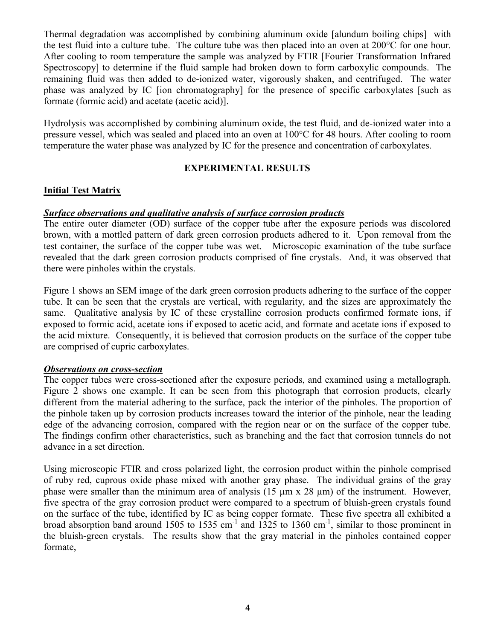Thermal degradation was accomplished by combining aluminum oxide [alundum boiling chips] with the test fluid into a culture tube. The culture tube was then placed into an oven at 200°C for one hour. After cooling to room temperature the sample was analyzed by FTIR [Fourier Transformation Infrared Spectroscopy] to determine if the fluid sample had broken down to form carboxylic compounds. The remaining fluid was then added to de-ionized water, vigorously shaken, and centrifuged. The water phase was analyzed by IC [ion chromatography] for the presence of specific carboxylates [such as formate (formic acid) and acetate (acetic acid)].

Hydrolysis was accomplished by combining aluminum oxide, the test fluid, and de-ionized water into a pressure vessel, which was sealed and placed into an oven at 100°C for 48 hours. After cooling to room temperature the water phase was analyzed by IC for the presence and concentration of carboxylates.

### **EXPERIMENTAL RESULTS**

## **Initial Test Matrix**

### *Surface observations and qualitative analysis of surface corrosion products*

The entire outer diameter (OD) surface of the copper tube after the exposure periods was discolored brown, with a mottled pattern of dark green corrosion products adhered to it. Upon removal from the test container, the surface of the copper tube was wet. Microscopic examination of the tube surface revealed that the dark green corrosion products comprised of fine crystals. And, it was observed that there were pinholes within the crystals.

Figure 1 shows an SEM image of the dark green corrosion products adhering to the surface of the copper tube. It can be seen that the crystals are vertical, with regularity, and the sizes are approximately the same. Qualitative analysis by IC of these crystalline corrosion products confirmed formate ions, if exposed to formic acid, acetate ions if exposed to acetic acid, and formate and acetate ions if exposed to the acid mixture. Consequently, it is believed that corrosion products on the surface of the copper tube are comprised of cupric carboxylates.

### *Observations on cross-section*

The copper tubes were cross-sectioned after the exposure periods, and examined using a metallograph. Figure 2 shows one example. It can be seen from this photograph that corrosion products, clearly different from the material adhering to the surface, pack the interior of the pinholes. The proportion of the pinhole taken up by corrosion products increases toward the interior of the pinhole, near the leading edge of the advancing corrosion, compared with the region near or on the surface of the copper tube. The findings confirm other characteristics, such as branching and the fact that corrosion tunnels do not advance in a set direction.

Using microscopic FTIR and cross polarized light, the corrosion product within the pinhole comprised of ruby red, cuprous oxide phase mixed with another gray phase. The individual grains of the gray phase were smaller than the minimum area of analysis (15  $\mu$ m x 28  $\mu$ m) of the instrument. However, five spectra of the gray corrosion product were compared to a spectrum of bluish-green crystals found on the surface of the tube, identified by IC as being copper formate. These five spectra all exhibited a broad absorption band around 1505 to 1535 cm<sup>-1</sup> and 1325 to 1360 cm<sup>-1</sup>, similar to those prominent in the bluish-green crystals. The results show that the gray material in the pinholes contained copper formate,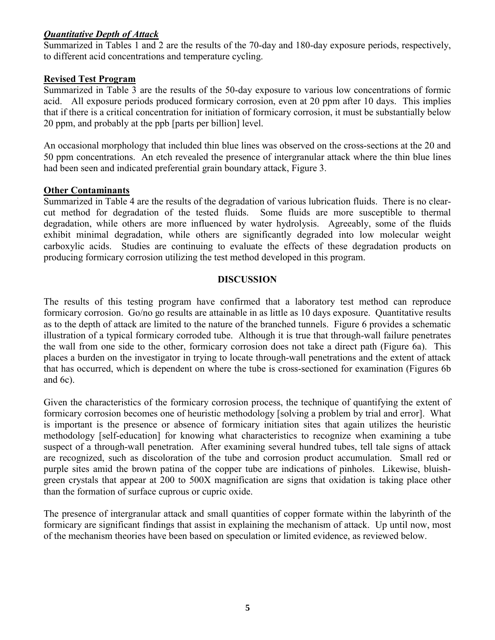## *Quantitative Depth of Attack*

Summarized in Tables 1 and 2 are the results of the 70-day and 180-day exposure periods, respectively, to different acid concentrations and temperature cycling.

## **Revised Test Program**

Summarized in Table 3 are the results of the 50-day exposure to various low concentrations of formic acid. All exposure periods produced formicary corrosion, even at 20 ppm after 10 days. This implies that if there is a critical concentration for initiation of formicary corrosion, it must be substantially below 20 ppm, and probably at the ppb [parts per billion] level.

An occasional morphology that included thin blue lines was observed on the cross-sections at the 20 and 50 ppm concentrations. An etch revealed the presence of intergranular attack where the thin blue lines had been seen and indicated preferential grain boundary attack, Figure 3.

## **Other Contaminants**

Summarized in Table 4 are the results of the degradation of various lubrication fluids. There is no clearcut method for degradation of the tested fluids. Some fluids are more susceptible to thermal degradation, while others are more influenced by water hydrolysis. Agreeably, some of the fluids exhibit minimal degradation, while others are significantly degraded into low molecular weight carboxylic acids. Studies are continuing to evaluate the effects of these degradation products on producing formicary corrosion utilizing the test method developed in this program.

### **DISCUSSION**

The results of this testing program have confirmed that a laboratory test method can reproduce formicary corrosion. Go/no go results are attainable in as little as 10 days exposure. Quantitative results as to the depth of attack are limited to the nature of the branched tunnels. Figure 6 provides a schematic illustration of a typical formicary corroded tube. Although it is true that through-wall failure penetrates the wall from one side to the other, formicary corrosion does not take a direct path (Figure 6a). This places a burden on the investigator in trying to locate through-wall penetrations and the extent of attack that has occurred, which is dependent on where the tube is cross-sectioned for examination (Figures 6b and 6c).

Given the characteristics of the formicary corrosion process, the technique of quantifying the extent of formicary corrosion becomes one of heuristic methodology [solving a problem by trial and error]. What is important is the presence or absence of formicary initiation sites that again utilizes the heuristic methodology [self-education] for knowing what characteristics to recognize when examining a tube suspect of a through-wall penetration. After examining several hundred tubes, tell tale signs of attack are recognized, such as discoloration of the tube and corrosion product accumulation. Small red or purple sites amid the brown patina of the copper tube are indications of pinholes. Likewise, bluishgreen crystals that appear at 200 to 500X magnification are signs that oxidation is taking place other than the formation of surface cuprous or cupric oxide.

The presence of intergranular attack and small quantities of copper formate within the labyrinth of the formicary are significant findings that assist in explaining the mechanism of attack. Up until now, most of the mechanism theories have been based on speculation or limited evidence, as reviewed below.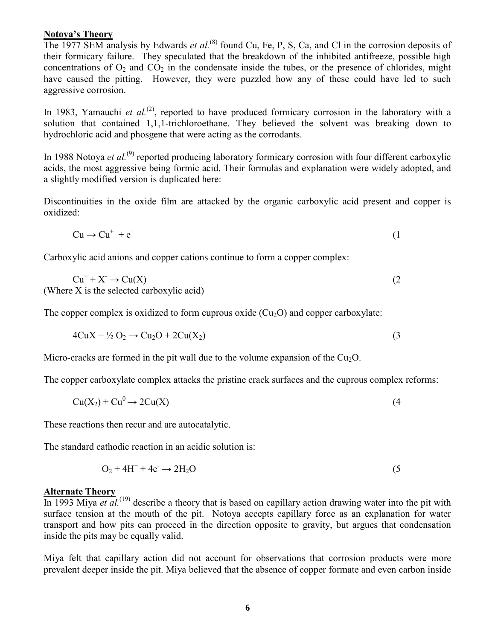#### **Notoya's Theory**

The 1977 SEM analysis by Edwards *et al.*<sup>(8)</sup> found Cu, Fe, P, S, Ca, and Cl in the corrosion deposits of their formicary failure. They speculated that the breakdown of the inhibited antifreeze, possible high concentrations of  $O_2$  and  $CO_2$  in the condensate inside the tubes, or the presence of chlorides, might have caused the pitting. However, they were puzzled how any of these could have led to such aggressive corrosion.

In 1983, Yamauchi *et al.*<sup>(2)</sup>, reported to have produced formicary corrosion in the laboratory with a solution that contained 1,1,1-trichloroethane. They believed the solvent was breaking down to hydrochloric acid and phosgene that were acting as the corrodants.

In 1988 Notova *et al.*<sup>(9)</sup> reported producing laboratory formicary corrosion with four different carboxylic acids, the most aggressive being formic acid. Their formulas and explanation were widely adopted, and a slightly modified version is duplicated here:

Discontinuities in the oxide film are attacked by the organic carboxylic acid present and copper is oxidized:

$$
Cu \to Cu^{+} + e^{-}
$$
 (1)

Carboxylic acid anions and copper cations continue to form a copper complex:

$$
Cu+ + X• \to Cu(X)
$$
  
(Where X is the selected carboxylic acid) (2)

The copper complex is oxidized to form cuprous oxide  $(Cu_2O)$  and copper carboxylate:

$$
4CuX + \frac{1}{2}O_2 \rightarrow Cu_2O + 2Cu(X_2)
$$
\n
$$
(3)
$$

Micro-cracks are formed in the pit wall due to the volume expansion of the  $Cu<sub>2</sub>O$ .

The copper carboxylate complex attacks the pristine crack surfaces and the cuprous complex reforms:

$$
Cu(X_2) + Cu^0 \rightarrow 2Cu(X)
$$
 (4)

These reactions then recur and are autocatalytic.

The standard cathodic reaction in an acidic solution is:

$$
O_2 + 4H^+ + 4e^- \rightarrow 2H_2O
$$
 (5)

#### **Alternate Theory**

In 1993 Miya *et al.*<sup>(19)</sup> describe a theory that is based on capillary action drawing water into the pit with surface tension at the mouth of the pit. Notoya accepts capillary force as an explanation for water transport and how pits can proceed in the direction opposite to gravity, but argues that condensation inside the pits may be equally valid.

Miya felt that capillary action did not account for observations that corrosion products were more prevalent deeper inside the pit. Miya believed that the absence of copper formate and even carbon inside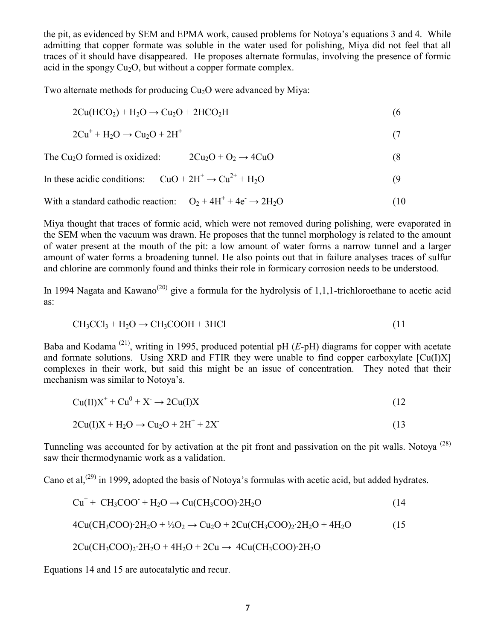the pit, as evidenced by SEM and EPMA work, caused problems for Notoya's equations 3 and 4. While admitting that copper formate was soluble in the water used for polishing, Miya did not feel that all traces of it should have disappeared. He proposes alternate formulas, involving the presence of formic acid in the spongy  $Cu<sub>2</sub>O$ , but without a copper formate complex.

Two alternate methods for producing Cu<sub>2</sub>O were advanced by Miya:

$$
2Cu(HCO2) + H2O \rightarrow Cu2O + 2HCO2H
$$
\n(6)

$$
2\mathrm{Cu}^+ + \mathrm{H}_2\mathrm{O} \rightarrow \mathrm{Cu}_2\mathrm{O} + 2\mathrm{H}^+ \tag{7}
$$

The Cu<sub>2</sub>O formed is oxidized: 
$$
2Cu_2O + O_2 \rightarrow 4CuO
$$
 (8)

In these acidic conditions: 
$$
CuO + 2H^+ \rightarrow Cu^{2+} + H_2O
$$
 (9)

With a standard cathodic reaction: 
$$
O_2 + 4H^+ + 4e^- \rightarrow 2H_2O
$$
 (10)

Miya thought that traces of formic acid, which were not removed during polishing, were evaporated in the SEM when the vacuum was drawn. He proposes that the tunnel morphology is related to the amount of water present at the mouth of the pit: a low amount of water forms a narrow tunnel and a larger amount of water forms a broadening tunnel. He also points out that in failure analyses traces of sulfur and chlorine are commonly found and thinks their role in formicary corrosion needs to be understood.

In 1994 Nagata and Kawano<sup>(20)</sup> give a formula for the hydrolysis of 1,1,1-trichloroethane to acetic acid as:

$$
CH3CCl3 + H2O \rightarrow CH3COOH + 3HCl
$$
\n(11)

Baba and Kodama (21), writing in 1995, produced potential pH (*E*-pH) diagrams for copper with acetate and formate solutions. Using XRD and FTIR they were unable to find copper carboxylate  $\lceil Cu(I)X \rceil$ complexes in their work, but said this might be an issue of concentration. They noted that their mechanism was similar to Notoya's.

$$
Cu(II)X^{+} + Cu^{0} + X^{-} \rightarrow 2Cu(I)X
$$
\n(12)

$$
2Cu(I)X + H_2O \rightarrow Cu_2O + 2H^+ + 2X \tag{13}
$$

Tunneling was accounted for by activation at the pit front and passivation on the pit walls. Notoya<sup>(28)</sup> saw their thermodynamic work as a validation.

Cano et al,<sup>(29)</sup> in 1999, adopted the basis of Notoya's formulas with acetic acid, but added hydrates.

$$
Cu+ + CH3COO+ + H2O \rightarrow Cu(CH3COO)2H2O
$$
\n(14)

$$
4Cu(CH_3COO) \cdot 2H_2O + \frac{1}{2}O_2 \rightarrow Cu_2O + 2Cu(CH_3COO)_2 \cdot 2H_2O + 4H_2O \tag{15}
$$

$$
2Cu(CH_3COO)_2.2H_2O + 4H_2O + 2Cu \rightarrow 4Cu(CH_3COO).2H_2O
$$

Equations 14 and 15 are autocatalytic and recur.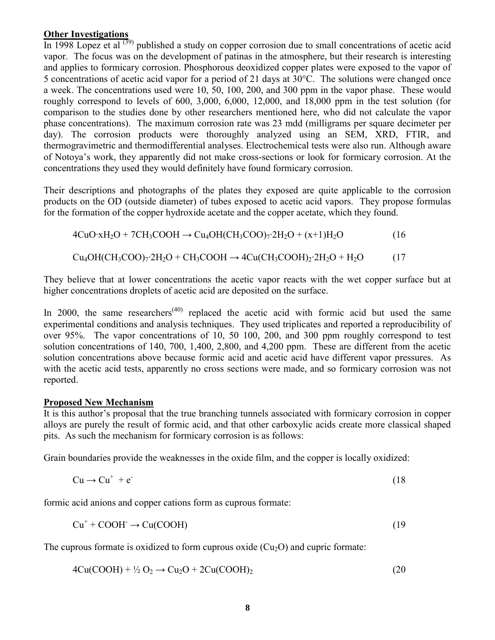### **Other Investigations**

In 1998 Lopez et al  $(39)$  published a study on copper corrosion due to small concentrations of acetic acid vapor. The focus was on the development of patinas in the atmosphere, but their research is interesting and applies to formicary corrosion. Phosphorous deoxidized copper plates were exposed to the vapor of 5 concentrations of acetic acid vapor for a period of 21 days at 30°C. The solutions were changed once a week. The concentrations used were 10, 50, 100, 200, and 300 ppm in the vapor phase. These would roughly correspond to levels of 600, 3,000, 6,000, 12,000, and 18,000 ppm in the test solution (for comparison to the studies done by other researchers mentioned here, who did not calculate the vapor phase concentrations). The maximum corrosion rate was 23 mdd (milligrams per square decimeter per day). The corrosion products were thoroughly analyzed using an SEM, XRD, FTIR, and thermogravimetric and thermodifferential analyses. Electrochemical tests were also run. Although aware of Notoya's work, they apparently did not make cross-sections or look for formicary corrosion. At the concentrations they used they would definitely have found formicary corrosion.

Their descriptions and photographs of the plates they exposed are quite applicable to the corrosion products on the OD (outside diameter) of tubes exposed to acetic acid vapors. They propose formulas for the formation of the copper hydroxide acetate and the copper acetate, which they found.

 $4CuO·xH<sub>2</sub>O + 7CH<sub>3</sub>COOH \rightarrow Cu<sub>4</sub>OH(CH<sub>3</sub>COO)<sub>7</sub>·2H<sub>2</sub>O + (x+1)H<sub>2</sub>O$  (16

 $Cu_4OH(CH_3COO)_7.2H_2O + CH_3COOH \rightarrow 4Cu(CH_3COOH)_2.2H_2O + H_2O$  (17

They believe that at lower concentrations the acetic vapor reacts with the wet copper surface but at higher concentrations droplets of acetic acid are deposited on the surface.

In 2000, the same researchers<sup> $(40)$ </sup> replaced the acetic acid with formic acid but used the same experimental conditions and analysis techniques. They used triplicates and reported a reproducibility of over 95%. The vapor concentrations of 10, 50 100, 200, and 300 ppm roughly correspond to test solution concentrations of 140, 700, 1,400, 2,800, and 4,200 ppm. These are different from the acetic solution concentrations above because formic acid and acetic acid have different vapor pressures. As with the acetic acid tests, apparently no cross sections were made, and so formicary corrosion was not reported.

## **Proposed New Mechanism**

It is this author's proposal that the true branching tunnels associated with formicary corrosion in copper alloys are purely the result of formic acid, and that other carboxylic acids create more classical shaped pits. As such the mechanism for formicary corrosion is as follows:

Grain boundaries provide the weaknesses in the oxide film, and the copper is locally oxidized:

$$
Cu \to Cu^{+} + e^{-}
$$
 (18)

formic acid anions and copper cations form as cuprous formate:

$$
Cu^{+} + COOH^{-} \rightarrow Cu(COOH)
$$
 (19)

The cuprous formate is oxidized to form cuprous oxide  $(Cu_2O)$  and cupric formate:

$$
4Cu(COOH) + \frac{1}{2}O_2 \rightarrow Cu_2O + 2Cu(COOH)_2
$$
\n
$$
(20)
$$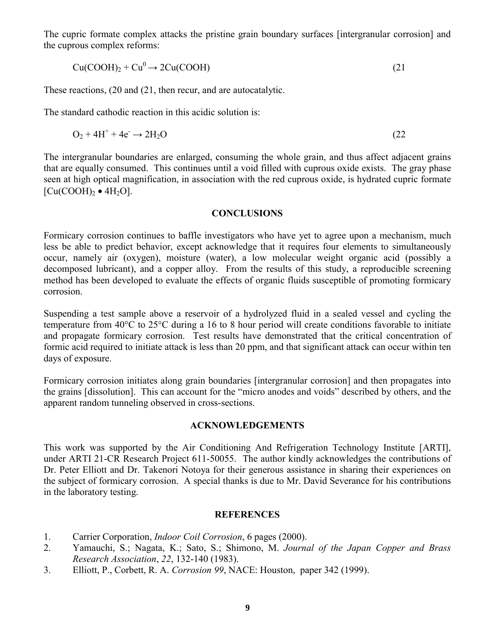The cupric formate complex attacks the pristine grain boundary surfaces [intergranular corrosion] and the cuprous complex reforms:

$$
Cu(COOH)2 + Cu0 \rightarrow 2Cu(COOH)
$$
 (21)

These reactions, (20 and (21, then recur, and are autocatalytic.

The standard cathodic reaction in this acidic solution is:

$$
O_2 + 4H^+ + 4e^- \rightarrow 2H_2O \tag{22}
$$

The intergranular boundaries are enlarged, consuming the whole grain, and thus affect adjacent grains that are equally consumed. This continues until a void filled with cuprous oxide exists. The gray phase seen at high optical magnification, in association with the red cuprous oxide, is hydrated cupric formate  $[Cu(COOH)<sub>2</sub> \bullet 4H<sub>2</sub>O]$ .

#### **CONCLUSIONS**

Formicary corrosion continues to baffle investigators who have yet to agree upon a mechanism, much less be able to predict behavior, except acknowledge that it requires four elements to simultaneously occur, namely air (oxygen), moisture (water), a low molecular weight organic acid (possibly a decomposed lubricant), and a copper alloy. From the results of this study, a reproducible screening method has been developed to evaluate the effects of organic fluids susceptible of promoting formicary corrosion.

Suspending a test sample above a reservoir of a hydrolyzed fluid in a sealed vessel and cycling the temperature from 40°C to 25°C during a 16 to 8 hour period will create conditions favorable to initiate and propagate formicary corrosion. Test results have demonstrated that the critical concentration of formic acid required to initiate attack is less than 20 ppm, and that significant attack can occur within ten days of exposure.

Formicary corrosion initiates along grain boundaries [intergranular corrosion] and then propagates into the grains [dissolution]. This can account for the "micro anodes and voids" described by others, and the apparent random tunneling observed in cross-sections.

### **ACKNOWLEDGEMENTS**

This work was supported by the Air Conditioning And Refrigeration Technology Institute [ARTI], under ARTI 21-CR Research Project 611-50055. The author kindly acknowledges the contributions of Dr. Peter Elliott and Dr. Takenori Notoya for their generous assistance in sharing their experiences on the subject of formicary corrosion. A special thanks is due to Mr. David Severance for his contributions in the laboratory testing.

#### **REFERENCES**

- 1. Carrier Corporation, *Indoor Coil Corrosion*, 6 pages (2000).
- 2. Yamauchi, S.; Nagata, K.; Sato, S.; Shimono, M. *Journal of the Japan Copper and Brass Research Association*, *22*, 132-140 (1983).
- 3. Elliott, P., Corbett, R. A. *Corrosion 99*, NACE: Houston, paper 342 (1999).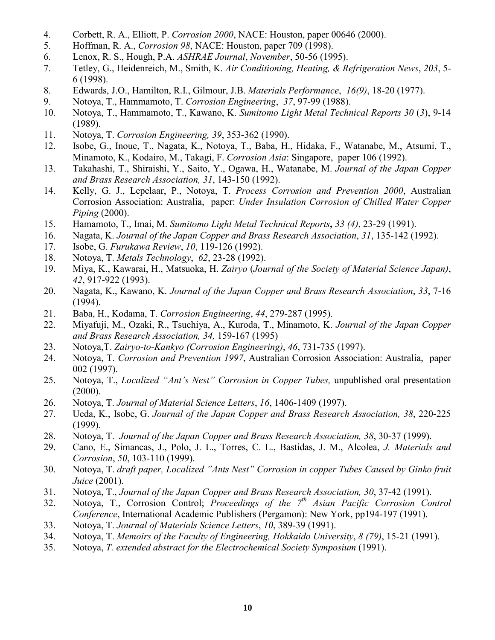- 4. Corbett, R. A., Elliott, P. *Corrosion 2000*, NACE: Houston, paper 00646 (2000).
- 5. Hoffman, R. A., *Corrosion 98*, NACE: Houston, paper 709 (1998).
- 6. Lenox, R. S., Hough, P.A. *ASHRAE Journal*, *November*, 50-56 (1995).
- 7. Tetley, G., Heidenreich, M., Smith, K. *Air Conditioning, Heating, & Refrigeration News*, *203*, 5- 6 (1998).
- 8. Edwards, J.O., Hamilton, R.I., Gilmour, J.B. *Materials Performance*, *16(9)*, 18-20 (1977).
- 9. Notoya, T., Hammamoto, T. *Corrosion Engineering*, *37*, 97-99 (1988).
- 10. Notoya, T., Hammamoto, T., Kawano, K. *Sumitomo Light Metal Technical Reports 30* (*3*), 9-14 (1989).
- 11. Notoya, T. *Corrosion Engineering, 39*, 353-362 (1990).
- 12. Isobe, G., Inoue, T., Nagata, K., Notoya, T., Baba, H., Hidaka, F., Watanabe, M., Atsumi, T., Minamoto, K., Kodairo, M., Takagi, F. *Corrosion Asia*: Singapore, paper 106 (1992).
- 13. Takahashi, T., Shiraishi, Y., Saito, Y., Ogawa, H., Watanabe, M. *Journal of the Japan Copper and Brass Research Association, 31*, 143-150 (1992).
- 14. Kelly, G. J., Lepelaar, P., Notoya, T. *Process Corrosion and Prevention 2000*, Australian Corrosion Association: Australia, paper: *Under Insulation Corrosion of Chilled Water Copper Piping* (2000).
- 15. Hamamoto, T., Imai, M. *Sumitomo Light Metal Technical Reports***,** *33 (4)*, 23-29 (1991).
- 16. Nagata, K. *Journal of the Japan Copper and Brass Research Association*, *31*, 135-142 (1992).
- 17. Isobe, G. *Furukawa Review*, *10*, 119-126 (1992).
- 18. Notoya, T. *Metals Technology*, *62*, 23-28 (1992).
- 19. Miya, K., Kawarai, H., Matsuoka, H. *Zairyo* (*Journal of the Society of Material Science Japan)*, *42*, 917-922 (1993).
- 20. Nagata, K., Kawano, K. *Journal of the Japan Copper and Brass Research Association*, *33*, 7-16 (1994).
- 21. Baba, H., Kodama, T. *Corrosion Engineering*, *44*, 279-287 (1995).
- 22. Miyafuji, M., Ozaki, R., Tsuchiya, A., Kuroda, T., Minamoto, K. *Journal of the Japan Copper and Brass Research Association, 34,* 159-167 (1995)
- 23. Notoya,T. *Zairyo-to-Kankyo (Corrosion Engineering)*, *46*, 731-735 (1997).
- 24. Notoya, T. *Corrosion and Prevention 1997*, Australian Corrosion Association: Australia, paper 002 (1997).
- 25. Notoya, T., *Localized "Ant's Nest" Corrosion in Copper Tubes,* unpublished oral presentation  $(2000)$ .
- 26. Notoya, T. *Journal of Material Science Letters*, *16*, 1406-1409 (1997).
- 27. Ueda, K., Isobe, G. *Journal of the Japan Copper and Brass Research Association, 38*, 220-225 (1999).
- 28. Notoya, T. *Journal of the Japan Copper and Brass Research Association, 38*, 30-37 (1999).
- 29. Cano, E., Simancas, J., Polo, J. L., Torres, C. L., Bastidas, J. M., Alcolea, *J. Materials and Corrosion*, *50*, 103-110 (1999).
- 30. Notoya, T. *draft paper, Localized "Ants Nest" Corrosion in copper Tubes Caused by Ginko fruit Juice* (2001).
- 31. Notoya, T., *Journal of the Japan Copper and Brass Research Association, 30*, 37-42 (1991).
- 32. Notoya, T., Corrosion Control; *Proceedings of the 7th Asian Pacific Corrosion Control Conference*, International Academic Publishers (Pergamon): New York, pp194-197 (1991).
- 33. Notoya, T. *Journal of Materials Science Letters*, *10*, 389-39 (1991).
- 34. Notoya, T. *Memoirs of the Faculty of Engineering, Hokkaido University*, *8 (79)*, 15-21 (1991).
- 35. Notoya, *T. extended abstract for the Electrochemical Society Symposium* (1991).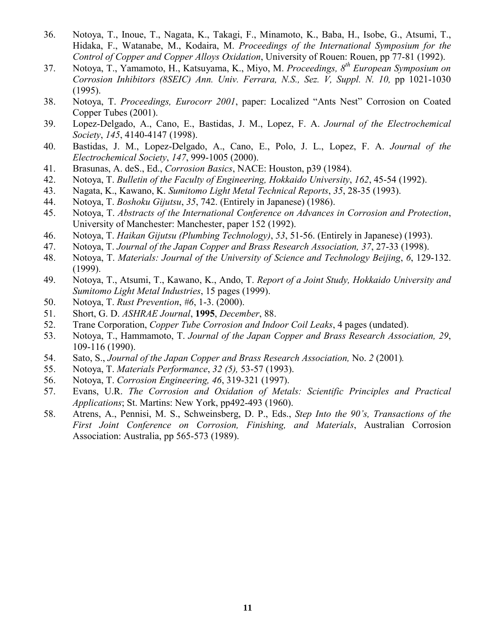- 36. Notoya, T., Inoue, T., Nagata, K., Takagi, F., Minamoto, K., Baba, H., Isobe, G., Atsumi, T., Hidaka, F., Watanabe, M., Kodaira, M. *Proceedings of the International Symposium for the Control of Copper and Copper Alloys Oxidation*, University of Rouen: Rouen, pp 77-81 (1992).
- 37. Notoya, T., Yamamoto, H., Katsuyama, K., Miyo, M. *Proceedings, 8th European Symposium on Corrosion Inhibitors (8SEIC) Ann. Univ. Ferrara, N.S., Sez. V, Suppl. N. 10,* pp 1021-1030 (1995).
- 38. Notoya, T. *Proceedings, Eurocorr 2001*, paper: Localized "Ants Nest" Corrosion on Coated Copper Tubes (2001).
- 39. Lopez-Delgado, A., Cano, E., Bastidas, J. M., Lopez, F. A. *Journal of the Electrochemical Society*, *145*, 4140-4147 (1998).
- 40. Bastidas, J. M., Lopez-Delgado, A., Cano, E., Polo, J. L., Lopez, F. A. *Journal of the Electrochemical Society*, *147*, 999-1005 (2000).
- 41. Brasunas, A. deS., Ed., *Corrosion Basics*, NACE: Houston, p39 (1984).
- 42. Notoya, T. *Bulletin of the Faculty of Engineering, Hokkaido University*, *162*, 45-54 (1992).
- 43. Nagata, K., Kawano, K. *Sumitomo Light Metal Technical Reports*, *35*, 28-35 (1993).
- 44. Notoya, T. *Boshoku Gijutsu*, *35*, 742. (Entirely in Japanese) (1986).
- 45. Notoya, T. *Abstracts of the International Conference on Advances in Corrosion and Protection*, University of Manchester: Manchester, paper 152 (1992).
- 46. Notoya, T. *Haikan Gijutsu (Plumbing Technology)*, *53*, 51-56. (Entirely in Japanese) (1993).
- 47. Notoya, T. *Journal of the Japan Copper and Brass Research Association, 37*, 27-33 (1998).
- 48. Notoya, T. *Materials: Journal of the University of Science and Technology Beijing*, *6*, 129-132. (1999).
- 49. Notoya, T., Atsumi, T., Kawano, K., Ando, T. *Report of a Joint Study, Hokkaido University and Sumitomo Light Metal Industries*, 15 pages (1999).
- 50. Notoya, T. *Rust Prevention*, *#6*, 1-3. (2000).
- 51. Short, G. D. *ASHRAE Journal*, **1995**, *December*, 88.
- 52. Trane Corporation, *Copper Tube Corrosion and Indoor Coil Leaks*, 4 pages (undated).
- 53. Notoya, T., Hammamoto, T. *Journal of the Japan Copper and Brass Research Association, 29*, 109-116 (1990).
- 54. Sato, S., *Journal of the Japan Copper and Brass Research Association,* No. *2* (2001)*.*
- 55. Notoya, T. *Materials Performance*, *32 (5),* 53-57 (1993).
- 56. Notoya, T. *Corrosion Engineering, 46*, 319-321 (1997).
- 57. Evans, U.R. *The Corrosion and Oxidation of Metals: Scientific Principles and Practical Applications*; St. Martins: New York, pp492-493 (1960).
- 58. Atrens, A., Pennisi, M. S., Schweinsberg, D. P., Eds., *Step Into the 90's, Transactions of the First Joint Conference on Corrosion, Finishing, and Materials*, Australian Corrosion Association: Australia, pp 565-573 (1989).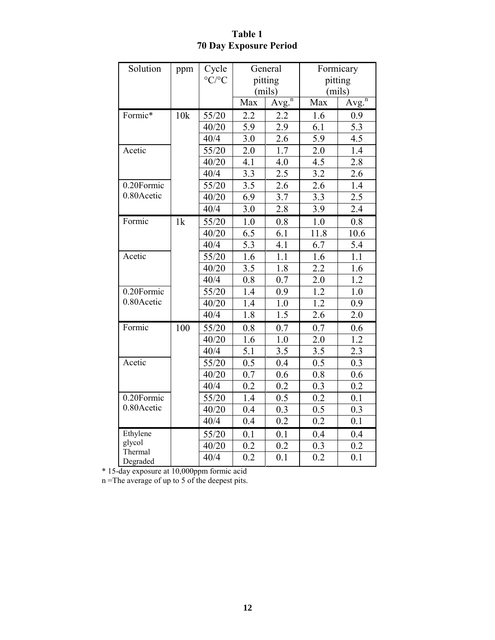# **Table 1 70 Day Exposure Period**

| Solution            | ppm | Cycle                     | General          |                   | Formicary        |                   |
|---------------------|-----|---------------------------|------------------|-------------------|------------------|-------------------|
|                     |     | $\rm ^{\circ}C/^{\circ}C$ | pitting          |                   | pitting          |                   |
|                     |     |                           | (mils)           |                   | (mils)           |                   |
|                     |     |                           | Max              | Avg. <sup>n</sup> | Max              | Avg. <sup>n</sup> |
| Formic*             | 10k | 55/20                     | 2.2              | 2.2               | 1.6              | 0.9               |
|                     |     | 40/20                     | 5.9              | 2.9               | 6.1              | 5.3               |
|                     |     | 40/4                      | 3.0              | 2.6               | 5.9              | 4.5               |
| Acetic              |     | 55/20                     | 2.0              | 1.7               | 2.0              | 1.4               |
|                     |     | 40/20                     | 4.1              | 4.0               | 4.5              | 2.8               |
|                     |     | 40/4                      | $3.\overline{3}$ | 2.5               | $3.\overline{2}$ | 2.6               |
| 0.20Formic          |     | 55/20                     | $3.\overline{5}$ | 2.6               | 2.6              | 1.4               |
| 0.80 Acetic         |     | 40/20                     | 6.9              | 3.7               | 3.3              | 2.5               |
|                     |     | 40/4                      | 3.0              | 2.8               | 3.9              | 2.4               |
| Formic              | 1k  | 55/20                     | 1.0              | 0.8               | 1.0              | 0.8               |
|                     |     | 40/20                     | $\overline{6.5}$ | 6.1               | 11.8             | 10.6              |
|                     |     | 40/4                      | $\overline{5.3}$ | 4.1               | 6.7              | 5.4               |
| Acetic              |     | 55/20                     | 1.6              | 1.1               | 1.6              | 1.1               |
|                     |     | 40/20                     | 3.5              | 1.8               | 2.2              | 1.6               |
|                     |     | 40/4                      | 0.8              | 0.7               | 2.0              | 1.2               |
| 0.20Formic          |     | 55/20                     | 1.4              | 0.9               | 1.2              | 1.0               |
| 0.80Acetic          |     | 40/20                     | 1.4              | 1.0               | 1.2              | 0.9               |
|                     |     | 40/4                      | 1.8              | 1.5               | $2.\overline{6}$ | 2.0               |
| Formic              | 100 | 55/20                     | 0.8              | 0.7               | 0.7              | 0.6               |
|                     |     | 40/20                     | 1.6              | 1.0               | 2.0              | 1.2               |
|                     |     | 40/4                      | 5.1              | 3.5               | 3.5              | 2.3               |
| Acetic              |     | 55/20                     | 0.5              | 0.4               | 0.5              | 0.3               |
|                     |     | 40/20                     | $\overline{0.7}$ | 0.6               | $\overline{0.8}$ | 0.6               |
|                     |     | 40/4                      | 0.2              | 0.2               | 0.3              | 0.2               |
| 0.20Formic          |     | 55/20                     | 1.4              | 0.5               | 0.2              | 0.1               |
| 0.80Acetic          |     | 40/20                     | 0.4              | 0.3               | 0.5              | 0.3               |
|                     |     | 40/4                      | 0.4              | 0.2               | 0.2              | 0.1               |
| Ethylene            |     | 55/20                     | 0.1              | 0.1               | 0.4              | 0.4               |
| glycol              |     | 40/20                     | 0.2              | 0.2               | 0.3              | 0.2               |
| Thermal<br>Degraded |     | 40/4                      | 0.2              | 0.1               | 0.2              | 0.1               |

\* 15-day exposure at 10,000ppm formic acid

n =The average of up to 5 of the deepest pits.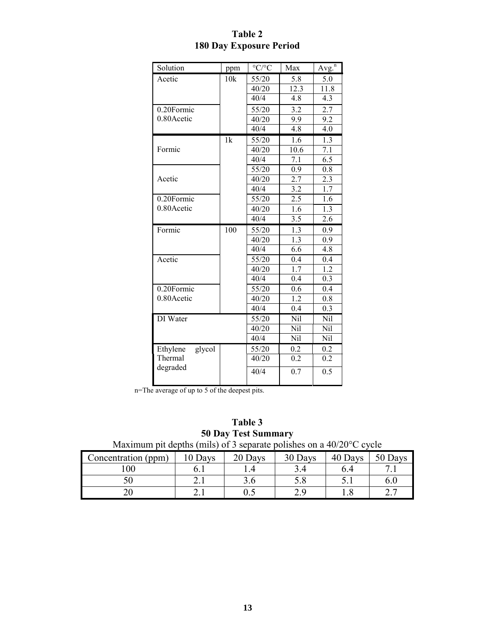| Solution           | ppm | $\rm ^{\circ}C/\rm ^{\circ}C$ | Max              | Avg. <sup>n</sup> |
|--------------------|-----|-------------------------------|------------------|-------------------|
| Acetic             | 10k | 55/20                         | 5.8              | 5.0               |
|                    |     | 40/20                         | 12.3             | 11.8              |
|                    |     | 40/4                          | 4.8              | 4.3               |
| 0.20Formic         |     | 55/20                         | 3.2              | 2.7               |
| 0.80 Acetic        |     | 40/20                         | 9.9              | 9.2               |
|                    |     | 40/4                          | 4.8              | 4.0               |
|                    | 1k  | 55/20                         | 1.6              | 1.3               |
| Formic             |     | 40/20                         | 10.6             | 7.1               |
|                    |     | 40/4                          | $\overline{7.1}$ | $\overline{6.5}$  |
|                    |     | 55/20                         | 0.9              | 0.8               |
| Acetic             |     | 40/20                         | 2.7              | 2.3               |
|                    |     | 40/4                          | 3.2              | 1.7               |
| 0.20Formic         |     | 55/20                         | 2.5              | 1.6               |
| 0.80 Acetic        |     | 40/20                         | 1.6              | 1.3               |
|                    |     | 40/4                          | 3.5              | 2.6               |
| Formic             | 100 | 55/20                         | 1.3              | 0.9               |
|                    |     | 40/20                         | 1.3              | 0.9               |
|                    |     | 40/4                          | 6.6              | 4.8               |
| Acetic             |     | 55/20                         | 0.4              | 0.4               |
|                    |     | 40/20                         | 1.7              | 1.2               |
|                    |     | 40/4                          | 0.4              | 0.3               |
| 0.20Formic         |     | 55/20                         | 0.6              | 0.4               |
| 0.80Acetic         |     | 40/20                         | 1.2              | 0.8               |
|                    |     | 40/4                          | 0.4              | 0.3               |
| DI Water           |     | 55/20                         | Nil              | Nil               |
|                    |     | 40/20                         | Nil              | Nil               |
|                    |     | 40/4                          | Nil              | Nil               |
| glycol<br>Ethylene |     | 55/20                         | 0.2              | 0.2               |
| Thermal            |     | 40/20                         | 0.2              | 0.2               |
| degraded           |     | 40/4                          | 0.7              | $\overline{0.5}$  |
|                    |     |                               |                  |                   |

# **Table 2 180 Day Exposure Period**

n=The average of up to 5 of the deepest pits.

| Table 3                                                                       |
|-------------------------------------------------------------------------------|
| <b>50 Day Test Summary</b>                                                    |
| Maximum pit depths (mils) of 3 separate polishes on a $40/20^{\circ}$ C cycle |

| Concentration (ppm) | Days | 20 Days | 30 Days | 40 Days | 50 Days |
|---------------------|------|---------|---------|---------|---------|
| 00                  |      |         |         | b.4     |         |
|                     | 4.1  |         | ິ∪.∪    | ◡.      |         |
|                     |      | ∪.↓     |         |         |         |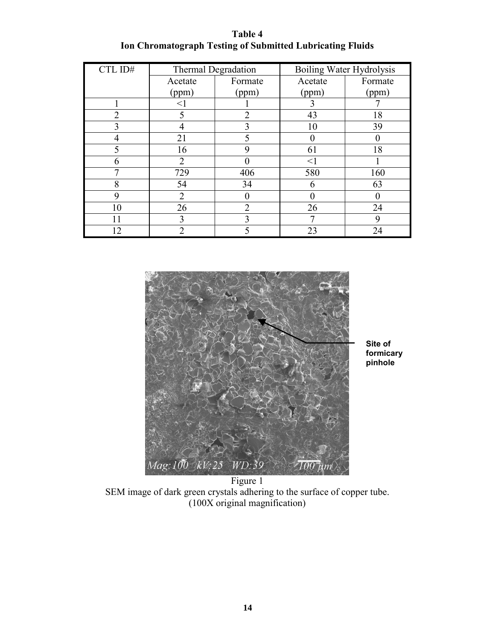**Table 4 Ion Chromatograph Testing of Submitted Lubricating Fluids**

| CTL ID#                       | <b>Thermal Degradation</b> |                | Boiling Water Hydrolysis |         |  |
|-------------------------------|----------------------------|----------------|--------------------------|---------|--|
|                               | Acetate                    | Formate        | Acetate                  | Formate |  |
|                               | (ppm)                      | (ppm)          | (ppm)                    | (ppm)   |  |
|                               | $<$ 1                      |                | 3                        |         |  |
| $\mathfrak{D}_{\mathfrak{p}}$ | 5                          | 2              | 43                       | 18      |  |
| 3                             |                            | 3              | 10                       | 39      |  |
|                               | 21                         | 5              |                          |         |  |
| 5                             | 16                         | 9              | 61                       | 18      |  |
| 6                             | $\overline{2}$             |                | $\leq$ 1                 |         |  |
| 7                             | 729                        | 406            | 580                      | 160     |  |
| 8                             | 54                         | 34             | 6                        | 63      |  |
| 9                             | $\overline{2}$             |                |                          |         |  |
| 10                            | 26                         | $\overline{2}$ | 26                       | 24      |  |
| 11                            | 3                          | 3              | 7                        |         |  |
| 12                            | 2                          | 5              | 23                       | 24      |  |



**Site of formicary pinhole** 

Figure 1 SEM image of dark green crystals adhering to the surface of copper tube. (100X original magnification)